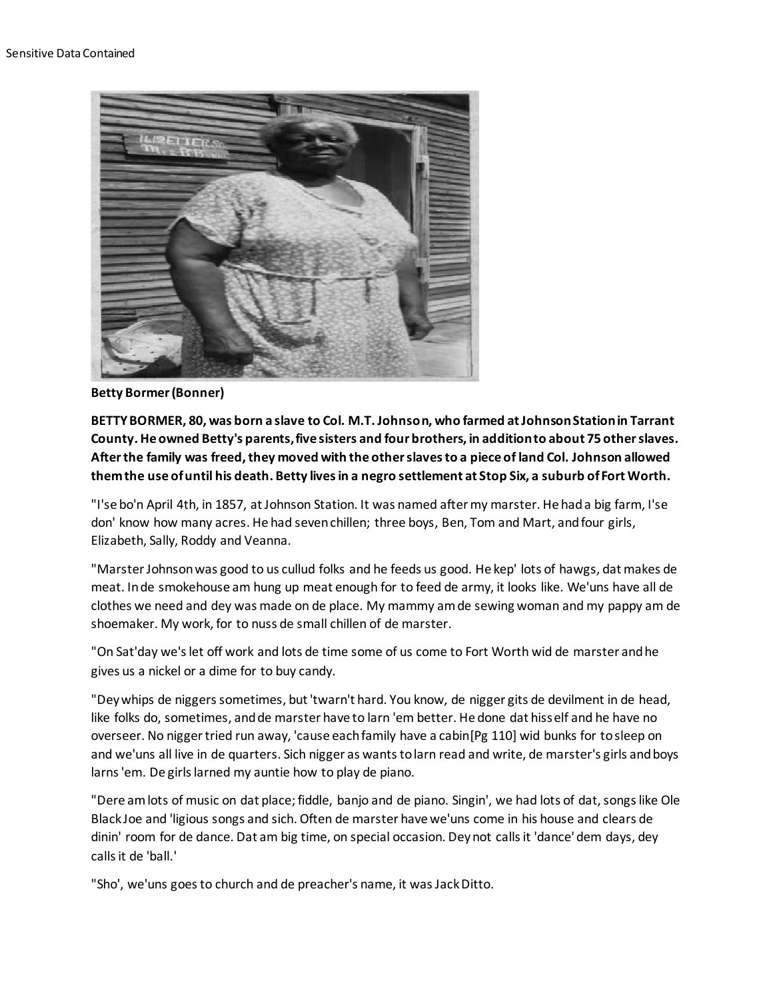

**Betty Bormer (Bonner)**

**BETTY BORMER, 80, was born a slave to Col. M.T. Johnson, who farmed at Johnson Station in Tarrant County. He owned Betty's parents, five sisters and four brothers, in addition to about 75 other slaves. After the family was freed, they moved with the other slaves to a piece of land Col. Johnson allowed them the use of until his death. Betty lives in a negro settlement at Stop Six, a suburb of Fort Worth.**

"I'se bo'n April 4th, in 1857, at Johnson Station. It was named after my marster. He had a big farm, I'se don' know how many acres. He had seven chillen; three boys, Ben, Tom and Mart, and four girls, Elizabeth, Sally, Roddy and Veanna.

"Marster Johnson was good to us cullud folks and he feeds us good. He kep' lots of hawgs, dat makes de meat. In de smokehouse am hung up meat enough for to feed de army, it looks like. We'uns have all de clothes we need and dey was made on de place. My mammy am de sewing woman and my pappy am de shoemaker. My work, for to nuss de small chillen of de marster.

"On Sat'day we's let off work and lots de time some of us come to Fort Worth wid de marster and he gives us a nickel or a dime for to buy candy.

"Dey whips de niggers sometimes, but 'twarn't hard. You know, de nigger gits de devilment in de head, like folks do, sometimes, and de marster have to larn 'em better. He done dat hisself and he have no overseer. No nigger tried run away, 'cause each family have a cabin[Pg 110] wid bunks for to sleep on and we'uns all live in de quarters. Sich nigger as wants to larn read and write, de marster's girls and boys larns 'em. De girls larned my auntie how to play de piano.

"Dere am lots of music on dat place; fiddle, banjo and de piano. Singin', we had lots of dat, songs like Ole Black Joe and 'ligious songs and sich. Often de marster have we'uns come in his house and clears de dinin' room for de dance. Dat am big time, on special occasion. Dey not calls it 'dance' dem days, dey calls it de 'ball.'

"Sho', we'uns goes to church and de preacher's name, it was Jack Ditto.